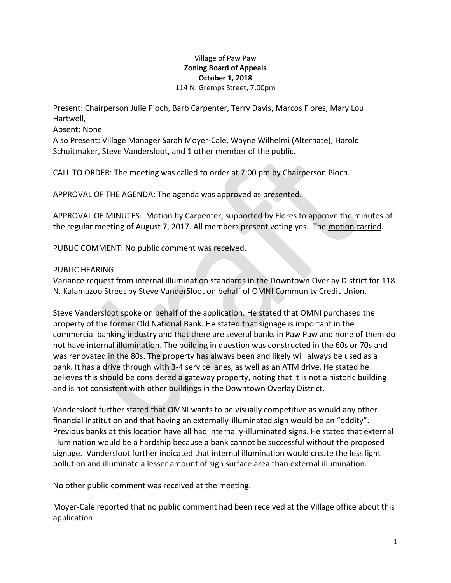## Village of Paw Paw **Zoning Board of Appeals October 1, 2018** 114 N. Gremps Street, 7:00pm

Present: Chairperson Julie Pioch, Barb Carpenter, Terry Davis, Marcos Flores, Mary Lou Hartwell,

Absent: None

Also Present: Village Manager Sarah Moyer-Cale, Wayne Wilhelmi (Alternate), Harold Schuitmaker, Steve Vandersloot, and 1 other member of the public.

CALL TO ORDER: The meeting was called to order at 7:00 pm by Chairperson Pioch.

APPROVAL OF THE AGENDA: The agenda was approved as presented.

APPROVAL OF MINUTES: Motion by Carpenter, supported by Flores to approve the minutes of the regular meeting of August 7, 2017. All members present voting yes. The motion carried.

PUBLIC COMMENT: No public comment was received.

## PUBLIC HEARING:

Variance request from internal illumination standards in the Downtown Overlay District for 118 N. Kalamazoo Street by Steve VanderSloot on behalf of OMNI Community Credit Union.

Steve Vandersloot spoke on behalf of the application. He stated that OMNI purchased the property of the former Old National Bank. He stated that signage is important in the commercial banking industry and that there are several banks in Paw Paw and none of them do not have internal illumination. The building in question was constructed in the 60s or 70s and was renovated in the 80s. The property has always been and likely will always be used as a bank. It has a drive through with 3-4 service lanes, as well as an ATM drive. He stated he believes this should be considered a gateway property, noting that it is not a historic building and is not consistent with other buildings in the Downtown Overlay District.

Vandersloot further stated that OMNI wants to be visually competitive as would any other financial institution and that having an externally-illuminated sign would be an "oddity". Previous banks at this location have all had internally-illuminated signs. He stated that external illumination would be a hardship because a bank cannot be successful without the proposed signage. Vandersloot further indicated that internal illumination would create the less light pollution and illuminate a lesser amount of sign surface area than external illumination.

No other public comment was received at the meeting.

Moyer-Cale reported that no public comment had been received at the Village office about this application.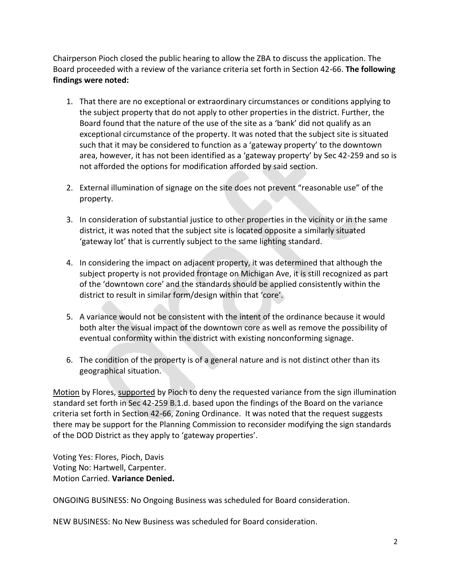Chairperson Pioch closed the public hearing to allow the ZBA to discuss the application. The Board proceeded with a review of the variance criteria set forth in Section 42-66. **The following findings were noted:**

- 1. That there are no exceptional or extraordinary circumstances or conditions applying to the subject property that do not apply to other properties in the district. Further, the Board found that the nature of the use of the site as a 'bank' did not qualify as an exceptional circumstance of the property. It was noted that the subject site is situated such that it may be considered to function as a 'gateway property' to the downtown area, however, it has not been identified as a 'gateway property' by Sec 42-259 and so is not afforded the options for modification afforded by said section.
- 2. External illumination of signage on the site does not prevent "reasonable use" of the property.
- 3. In consideration of substantial justice to other properties in the vicinity or in the same district, it was noted that the subject site is located opposite a similarly situated 'gateway lot' that is currently subject to the same lighting standard.
- 4. In considering the impact on adjacent property, it was determined that although the subject property is not provided frontage on Michigan Ave, it is still recognized as part of the 'downtown core' and the standards should be applied consistently within the district to result in similar form/design within that 'core'.
- 5. A variance would not be consistent with the intent of the ordinance because it would both alter the visual impact of the downtown core as well as remove the possibility of eventual conformity within the district with existing nonconforming signage.
- 6. The condition of the property is of a general nature and is not distinct other than its geographical situation.

Motion by Flores, supported by Pioch to deny the requested variance from the sign illumination standard set forth in Sec 42-259 B.1.d. based upon the findings of the Board on the variance criteria set forth in Section 42-66, Zoning Ordinance. It was noted that the request suggests there may be support for the Planning Commission to reconsider modifying the sign standards of the DOD District as they apply to 'gateway properties'.

Voting Yes: Flores, Pioch, Davis Voting No: Hartwell, Carpenter. Motion Carried. **Variance Denied.**

ONGOING BUSINESS: No Ongoing Business was scheduled for Board consideration.

NEW BUSINESS: No New Business was scheduled for Board consideration.